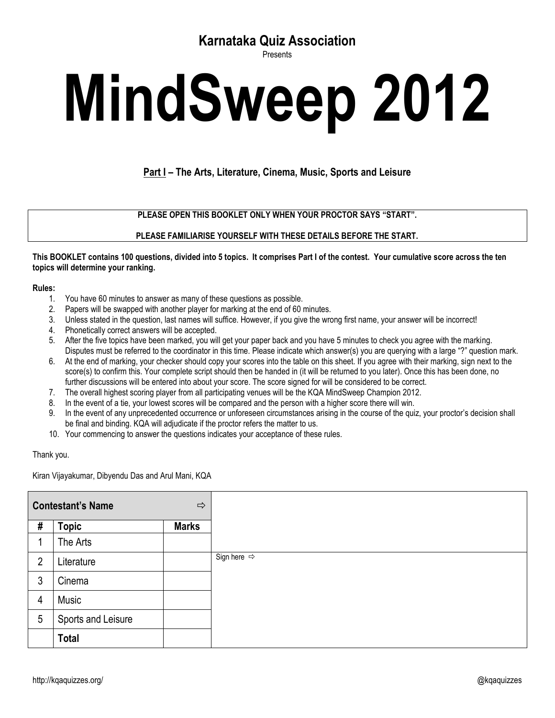## **Karnataka Quiz Association**

Presents

# **MindSweep 2012**

### **Part I – The Arts, Literature, Cinema, Music, Sports and Leisure**

**PLEASE OPEN THIS BOOKLET ONLY WHEN YOUR PROCTOR SAYS "START".**

#### **PLEASE FAMILIARISE YOURSELF WITH THESE DETAILS BEFORE THE START.**

#### **This BOOKLET contains 100 questions, divided into 5 topics. It comprises Part I of the contest. Your cumulative score across the ten topics will determine your ranking.**

#### **Rules:**

- 1. You have 60 minutes to answer as many of these questions as possible.
- 2. Papers will be swapped with another player for marking at the end of 60 minutes.
- 3. Unless stated in the question, last names will suffice. However, if you give the wrong first name, your answer will be incorrect!
- 4. Phonetically correct answers will be accepted.
- 5. After the five topics have been marked, you will get your paper back and you have 5 minutes to check you agree with the marking. Disputes must be referred to the coordinator in this time. Please indicate which answer(s) you are querying with a large "?" question mark.
- 6. At the end of marking, your checker should copy your scores into the table on this sheet. If you agree with their marking, sign next to the score(s) to confirm this. Your complete script should then be handed in (it will be returned to you later). Once this has been done, no further discussions will be entered into about your score. The score signed for will be considered to be correct.
- 7. The overall highest scoring player from all participating venues will be the KQA MindSweep Champion 2012.
- 8. In the event of a tie, your lowest scores will be compared and the person with a higher score there will win.
- 9. In the event of any unprecedented occurrence or unforeseen circumstances arising in the course of the quiz, your proctor's decision shall be final and binding. KQA will adjudicate if the proctor refers the matter to us.
- 10. Your commencing to answer the questions indicates your acceptance of these rules.

#### Thank you.

Kiran Vijayakumar, Dibyendu Das and Arul Mani, KQA

|                | <b>Contestant's Name</b> | $\Rightarrow$ |                         |
|----------------|--------------------------|---------------|-------------------------|
| #              | <b>Topic</b>             | <b>Marks</b>  |                         |
| 1              | The Arts                 |               |                         |
| $\overline{2}$ | Literature               |               | Sign here $\Rightarrow$ |
| 3              | Cinema                   |               |                         |
| $\overline{4}$ | Music                    |               |                         |
| 5              | Sports and Leisure       |               |                         |
|                | <b>Total</b>             |               |                         |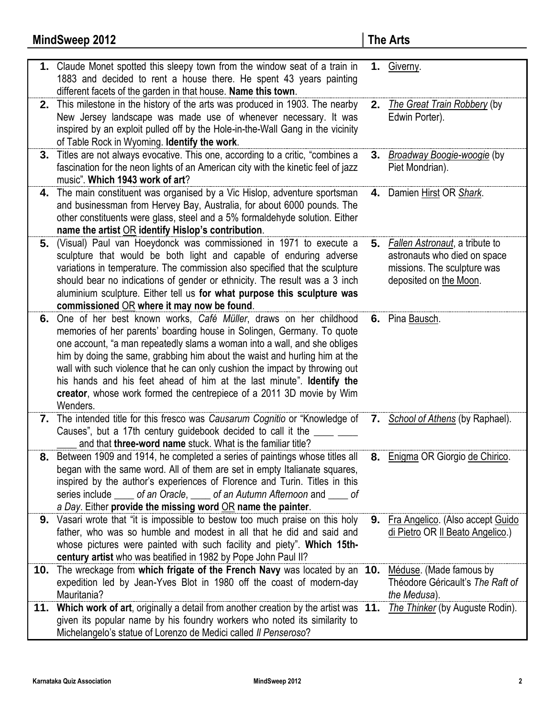|     | 1. Claude Monet spotted this sleepy town from the window seat of a train in<br>1883 and decided to rent a house there. He spent 43 years painting                                                                                                                                                                                                                                                                                                                                                                                                    |    | 1. Giverny.                                                                                                                |
|-----|------------------------------------------------------------------------------------------------------------------------------------------------------------------------------------------------------------------------------------------------------------------------------------------------------------------------------------------------------------------------------------------------------------------------------------------------------------------------------------------------------------------------------------------------------|----|----------------------------------------------------------------------------------------------------------------------------|
|     | different facets of the garden in that house. Name this town.                                                                                                                                                                                                                                                                                                                                                                                                                                                                                        |    |                                                                                                                            |
| 2.  | This milestone in the history of the arts was produced in 1903. The nearby<br>New Jersey landscape was made use of whenever necessary. It was<br>inspired by an exploit pulled off by the Hole-in-the-Wall Gang in the vicinity<br>of Table Rock in Wyoming. Identify the work.                                                                                                                                                                                                                                                                      | 2. | The Great Train Robbery (by<br>Edwin Porter).                                                                              |
| 3.  | Titles are not always evocative. This one, according to a critic, "combines a<br>fascination for the neon lights of an American city with the kinetic feel of jazz<br>music". Which 1943 work of art?                                                                                                                                                                                                                                                                                                                                                | 3. | <b>Broadway Boogie-woogie</b> (by<br>Piet Mondrian).                                                                       |
|     | 4. The main constituent was organised by a Vic Hislop, adventure sportsman<br>and businessman from Hervey Bay, Australia, for about 6000 pounds. The<br>other constituents were glass, steel and a 5% formaldehyde solution. Either<br>name the artist OR identify Hislop's contribution.                                                                                                                                                                                                                                                            |    | 4. Damien Hirst OR Shark.                                                                                                  |
|     | 5. (Visual) Paul van Hoeydonck was commissioned in 1971 to execute a<br>sculpture that would be both light and capable of enduring adverse<br>variations in temperature. The commission also specified that the sculpture<br>should bear no indications of gender or ethnicity. The result was a 3 inch<br>aluminium sculpture. Either tell us for what purpose this sculpture was<br>commissioned OR where it may now be found.                                                                                                                     |    | 5. Fallen Astronaut, a tribute to<br>astronauts who died on space<br>missions. The sculpture was<br>deposited on the Moon. |
|     | 6. One of her best known works, Café Müller, draws on her childhood<br>memories of her parents' boarding house in Solingen, Germany. To quote<br>one account, "a man repeatedly slams a woman into a wall, and she obliges<br>him by doing the same, grabbing him about the waist and hurling him at the<br>wall with such violence that he can only cushion the impact by throwing out<br>his hands and his feet ahead of him at the last minute". Identify the<br>creator, whose work formed the centrepiece of a 2011 3D movie by Wim<br>Wenders. |    | 6. Pina Bausch.                                                                                                            |
|     | 7. The intended title for this fresco was Causarum Cognitio or "Knowledge of<br>Causes", but a 17th century guidebook decided to call it the<br>and that three-word name stuck. What is the familiar title?                                                                                                                                                                                                                                                                                                                                          |    | 7. School of Athens (by Raphael).                                                                                          |
|     | 8. Between 1909 and 1914, he completed a series of paintings whose titles all<br>began with the same word. All of them are set in empty Italianate squares,<br>inspired by the author's experiences of Florence and Turin. Titles in this<br>series include _____ of an Oracle, _____ of an Autumn Afternoon and _____ of<br>a Day. Either provide the missing word $OR$ name the painter.                                                                                                                                                           |    | 8. Enigma OR Giorgio de Chirico.                                                                                           |
|     | <b>9.</b> Vasari wrote that "it is impossible to bestow too much praise on this holy<br>father, who was so humble and modest in all that he did and said and<br>whose pictures were painted with such facility and piety". Which 15th-<br>century artist who was beatified in 1982 by Pope John Paul II?                                                                                                                                                                                                                                             |    | 9. Fra Angelico. (Also accept Guido<br>di Pietro OR Il Beato Angelico.)                                                    |
| 10. | The wreckage from which frigate of the French Navy was located by an 10.<br>expedition led by Jean-Yves Blot in 1980 off the coast of modern-day<br>Mauritania?                                                                                                                                                                                                                                                                                                                                                                                      |    | Méduse. (Made famous by<br>Théodore Géricault's The Raft of<br>the Medusa).                                                |
|     | 11. Which work of art, originally a detail from another creation by the artist was 11.<br>given its popular name by his foundry workers who noted its similarity to<br>Michelangelo's statue of Lorenzo de Medici called Il Penseroso?                                                                                                                                                                                                                                                                                                               |    | The Thinker (by Auguste Rodin).                                                                                            |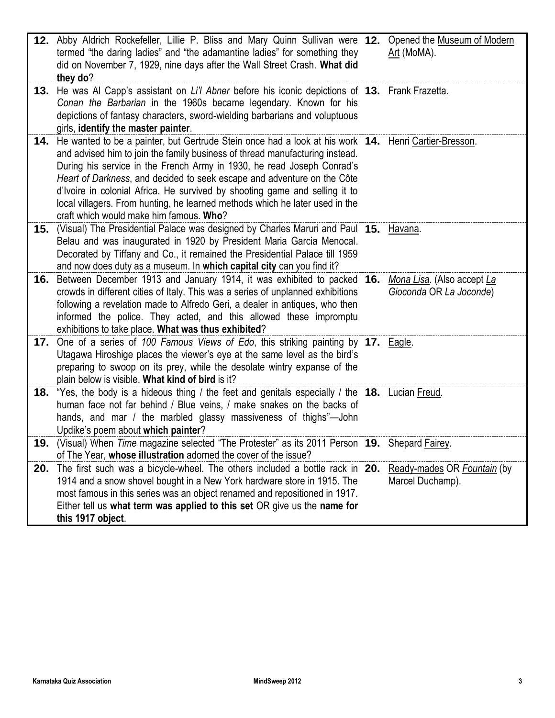|     | 12. Abby Aldrich Rockefeller, Lillie P. Bliss and Mary Quinn Sullivan were 12.<br>termed "the daring ladies" and "the adamantine ladies" for something they<br>did on November 7, 1929, nine days after the Wall Street Crash. What did<br>they do?                                                                                                                                                                                                                                                                                                 | Opened the Museum of Modern<br>Art (MoMA).            |
|-----|-----------------------------------------------------------------------------------------------------------------------------------------------------------------------------------------------------------------------------------------------------------------------------------------------------------------------------------------------------------------------------------------------------------------------------------------------------------------------------------------------------------------------------------------------------|-------------------------------------------------------|
|     | 13. He was Al Capp's assistant on Li'l Abner before his iconic depictions of 13. Frank Frazetta.<br>Conan the Barbarian in the 1960s became legendary. Known for his<br>depictions of fantasy characters, sword-wielding barbarians and voluptuous<br>girls, identify the master painter.                                                                                                                                                                                                                                                           |                                                       |
| 14. | He wanted to be a painter, but Gertrude Stein once had a look at his work 14. Henri Cartier-Bresson.<br>and advised him to join the family business of thread manufacturing instead.<br>During his service in the French Army in 1930, he read Joseph Conrad's<br>Heart of Darkness, and decided to seek escape and adventure on the Côte<br>d'Ivoire in colonial Africa. He survived by shooting game and selling it to<br>local villagers. From hunting, he learned methods which he later used in the<br>craft which would make him famous. Who? |                                                       |
| 15. | (Visual) The Presidential Palace was designed by Charles Maruri and Paul 15. Havana.<br>Belau and was inaugurated in 1920 by President Maria Garcia Menocal.<br>Decorated by Tiffany and Co., it remained the Presidential Palace till 1959<br>and now does duty as a museum. In which capital city can you find it?                                                                                                                                                                                                                                |                                                       |
| 16. | Between December 1913 and January 1914, it was exhibited to packed 16.<br>crowds in different cities of Italy. This was a series of unplanned exhibitions<br>following a revelation made to Alfredo Geri, a dealer in antiques, who then<br>informed the police. They acted, and this allowed these impromptu<br>exhibitions to take place. What was thus exhibited?                                                                                                                                                                                | Mona Lisa. (Also accept La<br>Gioconda OR La Joconde) |
|     | 17. One of a series of 100 Famous Views of Edo, this striking painting by 17. Eagle.<br>Utagawa Hiroshige places the viewer's eye at the same level as the bird's<br>preparing to swoop on its prey, while the desolate wintry expanse of the<br>plain below is visible. What kind of bird is it?                                                                                                                                                                                                                                                   |                                                       |
|     | 18. "Yes, the body is a hideous thing / the feet and genitals especially / the 18. Lucian Freud.<br>human face not far behind / Blue veins, / make snakes on the backs of<br>hands, and mar / the marbled glassy massiveness of thighs"-John<br>Updike's poem about which painter?                                                                                                                                                                                                                                                                  |                                                       |
|     | 19. (Visual) When Time magazine selected "The Protester" as its 2011 Person 19. Shepard Fairey.<br>of The Year, whose illustration adorned the cover of the issue?                                                                                                                                                                                                                                                                                                                                                                                  |                                                       |
| 20. | The first such was a bicycle-wheel. The others included a bottle rack in 20.<br>1914 and a snow shovel bought in a New York hardware store in 1915. The<br>most famous in this series was an object renamed and repositioned in 1917.<br>Either tell us what term was applied to this set $OR$ give us the name for<br>this 1917 object.                                                                                                                                                                                                            | Ready-mades OR Fountain (by<br>Marcel Duchamp).       |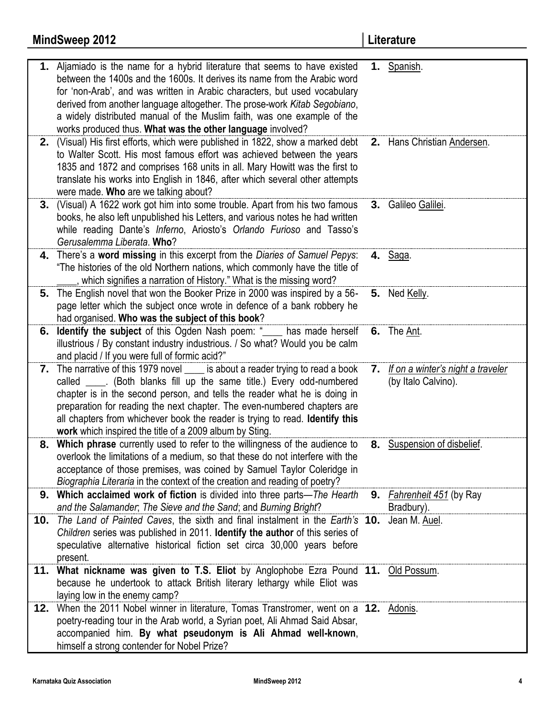|     | 1. Aljamiado is the name for a hybrid literature that seems to have existed                                                  |    | 1. Spanish.                       |
|-----|------------------------------------------------------------------------------------------------------------------------------|----|-----------------------------------|
|     | between the 1400s and the 1600s. It derives its name from the Arabic word                                                    |    |                                   |
|     | for 'non-Arab', and was written in Arabic characters, but used vocabulary                                                    |    |                                   |
|     | derived from another language altogether. The prose-work Kitab Segobiano,                                                    |    |                                   |
|     | a widely distributed manual of the Muslim faith, was one example of the                                                      |    |                                   |
|     | works produced thus. What was the other language involved?                                                                   |    |                                   |
| 2.  | (Visual) His first efforts, which were published in 1822, show a marked debt                                                 |    | 2. Hans Christian Andersen.       |
|     | to Walter Scott. His most famous effort was achieved between the years                                                       |    |                                   |
|     | 1835 and 1872 and comprises 168 units in all. Mary Howitt was the first to                                                   |    |                                   |
|     | translate his works into English in 1846, after which several other attempts                                                 |    |                                   |
|     | were made. Who are we talking about?                                                                                         |    |                                   |
|     | 3. (Visual) A 1622 work got him into some trouble. Apart from his two famous                                                 |    | 3. Galileo Galilei.               |
|     | books, he also left unpublished his Letters, and various notes he had written                                                |    |                                   |
|     | while reading Dante's Inferno, Ariosto's Orlando Furioso and Tasso's                                                         |    |                                   |
|     | Gerusalemma Liberata. Who?                                                                                                   |    |                                   |
|     | 4. There's a word missing in this excerpt from the Diaries of Samuel Pepys:                                                  |    | 4. Saga.                          |
|     | "The histories of the old Northern nations, which commonly have the title of                                                 |    |                                   |
|     | , which signifies a narration of History." What is the missing word?                                                         |    |                                   |
|     | 5. The English novel that won the Booker Prize in 2000 was inspired by a 56-                                                 |    | 5. Ned Kelly.                     |
|     |                                                                                                                              |    |                                   |
|     | page letter which the subject once wrote in defence of a bank robbery he<br>had organised. Who was the subject of this book? |    |                                   |
|     |                                                                                                                              |    |                                   |
| 6.  | <b>Identify the subject</b> of this Ogden Nash poem: " see has made herself                                                  |    | 6. The Ant.                       |
|     | illustrious / By constant industry industrious. / So what? Would you be calm                                                 |    |                                   |
|     | and placid / If you were full of formic acid?"                                                                               |    |                                   |
|     | 7. The narrative of this 1979 novel _____ is about a reader trying to read a book                                            | 7. | If on a winter's night a traveler |
|     | called _____. (Both blanks fill up the same title.) Every odd-numbered                                                       |    | (by Italo Calvino).               |
|     | chapter is in the second person, and tells the reader what he is doing in                                                    |    |                                   |
|     | preparation for reading the next chapter. The even-numbered chapters are                                                     |    |                                   |
|     | all chapters from whichever book the reader is trying to read. Identify this                                                 |    |                                   |
|     | work which inspired the title of a 2009 album by Sting.                                                                      |    |                                   |
|     | 8. Which phrase currently used to refer to the willingness of the audience to                                                |    | 8. Suspension of disbelief.       |
|     | overlook the limitations of a medium, so that these do not interfere with the                                                |    |                                   |
|     | acceptance of those premises, was coined by Samuel Taylor Coleridge in                                                       |    |                                   |
|     | Biographia Literaria in the context of the creation and reading of poetry?                                                   |    |                                   |
|     | 9. Which acclaimed work of fiction is divided into three parts-The Hearth                                                    |    | 9. Fahrenheit 451 (by Ray         |
|     | and the Salamander, The Sieve and the Sand; and Burning Bright?                                                              |    | Bradbury).                        |
|     | <b>10.</b> The Land of Painted Caves, the sixth and final instalment in the Earth's <b>10.</b>                               |    | Jean M. Auel.                     |
|     | Children series was published in 2011. Identify the author of this series of                                                 |    |                                   |
|     | speculative alternative historical fiction set circa 30,000 years before                                                     |    |                                   |
|     | present.                                                                                                                     |    |                                   |
|     | 11. What nickname was given to T.S. Eliot by Anglophobe Ezra Pound 11. Old Possum.                                           |    |                                   |
|     | because he undertook to attack British literary lethargy while Eliot was                                                     |    |                                   |
|     | laying low in the enemy camp?                                                                                                |    |                                   |
| 12. | When the 2011 Nobel winner in literature, Tomas Transtromer, went on a 12. Adonis.                                           |    |                                   |
|     | poetry-reading tour in the Arab world, a Syrian poet, Ali Ahmad Said Absar,                                                  |    |                                   |
|     | accompanied him. By what pseudonym is Ali Ahmad well-known,                                                                  |    |                                   |
|     | himself a strong contender for Nobel Prize?                                                                                  |    |                                   |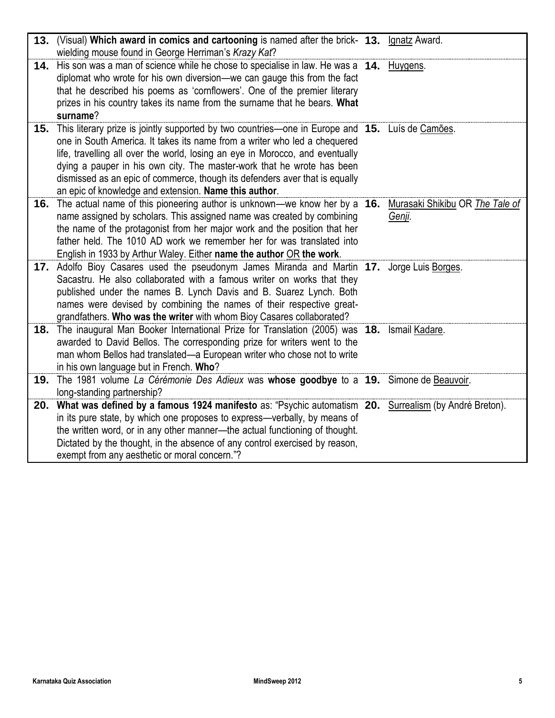| 13. | (Visual) Which award in comics and cartooning is named after the brick- 13. Ignatz Award.<br>wielding mouse found in George Herriman's Krazy Kat?                                                                                                                                                                                                                                                                                                                                   |                                           |
|-----|-------------------------------------------------------------------------------------------------------------------------------------------------------------------------------------------------------------------------------------------------------------------------------------------------------------------------------------------------------------------------------------------------------------------------------------------------------------------------------------|-------------------------------------------|
|     | 14. His son was a man of science while he chose to specialise in law. He was a 14. Huygens.<br>diplomat who wrote for his own diversion—we can gauge this from the fact<br>that he described his poems as 'cornflowers'. One of the premier literary<br>prizes in his country takes its name from the surname that he bears. What<br>surname?                                                                                                                                       |                                           |
|     | 15. This literary prize is jointly supported by two countries—one in Europe and 15. Luís de Camões.<br>one in South America. It takes its name from a writer who led a chequered<br>life, travelling all over the world, losing an eye in Morocco, and eventually<br>dying a pauper in his own city. The master-work that he wrote has been<br>dismissed as an epic of commerce, though its defenders aver that is equally<br>an epic of knowledge and extension. Name this author. |                                           |
|     | 16. The actual name of this pioneering author is unknown—we know her by a 16.<br>name assigned by scholars. This assigned name was created by combining<br>the name of the protagonist from her major work and the position that her<br>father held. The 1010 AD work we remember her for was translated into<br>English in 1933 by Arthur Waley. Either name the author OR the work.                                                                                               | Murasaki Shikibu OR The Tale of<br>Genji. |
|     | 17. Adolfo Bioy Casares used the pseudonym James Miranda and Martin 17. Jorge Luis Borges.<br>Sacastru. He also collaborated with a famous writer on works that they<br>published under the names B. Lynch Davis and B. Suarez Lynch. Both<br>names were devised by combining the names of their respective great-<br>grandfathers. Who was the writer with whom Bioy Casares collaborated?                                                                                         |                                           |
|     | 18. The inaugural Man Booker International Prize for Translation (2005) was 18. Ismail Kadare.<br>awarded to David Bellos. The corresponding prize for writers went to the<br>man whom Bellos had translated-a European writer who chose not to write<br>in his own language but in French. Who?                                                                                                                                                                                    |                                           |
| 19. | The 1981 volume La Cérémonie Des Adieux was whose goodbye to a 19. Simone de Beauvoir.<br>long-standing partnership?                                                                                                                                                                                                                                                                                                                                                                |                                           |
|     | 20. What was defined by a famous 1924 manifesto as: "Psychic automatism 20. Surrealism (by André Breton).<br>in its pure state, by which one proposes to express-verbally, by means of<br>the written word, or in any other manner-the actual functioning of thought.<br>Dictated by the thought, in the absence of any control exercised by reason,<br>exempt from any aesthetic or moral concern."?                                                                               |                                           |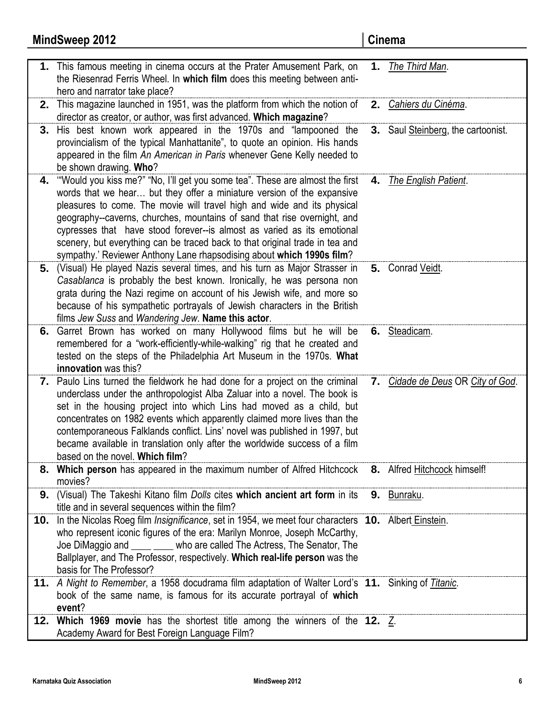|     | <b>MindSweep 2012</b>                                                                                                                                                                                                                                                                                                                                                                                                                                                                                                                             | Cinema                             |
|-----|---------------------------------------------------------------------------------------------------------------------------------------------------------------------------------------------------------------------------------------------------------------------------------------------------------------------------------------------------------------------------------------------------------------------------------------------------------------------------------------------------------------------------------------------------|------------------------------------|
|     | 1. This famous meeting in cinema occurs at the Prater Amusement Park, on<br>the Riesenrad Ferris Wheel. In which film does this meeting between anti-<br>hero and narrator take place?                                                                                                                                                                                                                                                                                                                                                            | 1. The Third Man.                  |
| 2.  | This magazine launched in 1951, was the platform from which the notion of<br>director as creator, or author, was first advanced. Which magazine?                                                                                                                                                                                                                                                                                                                                                                                                  | 2. Cahiers du Cinéma.              |
| 3.  | His best known work appeared in the 1970s and "lampooned the<br>provincialism of the typical Manhattanite", to quote an opinion. His hands<br>appeared in the film An American in Paris whenever Gene Kelly needed to<br>be shown drawing. Who?                                                                                                                                                                                                                                                                                                   | 3. Saul Steinberg, the cartoonist. |
| 4.  | "Would you kiss me?" "No, I'll get you some tea". These are almost the first<br>words that we hear but they offer a miniature version of the expansive<br>pleasures to come. The movie will travel high and wide and its physical<br>geography--caverns, churches, mountains of sand that rise overnight, and<br>cypresses that have stood forever--is almost as varied as its emotional<br>scenery, but everything can be traced back to that original trade in tea and<br>sympathy.' Reviewer Anthony Lane rhapsodising about which 1990s film? | 4. The English Patient.            |
| 5.  | (Visual) He played Nazis several times, and his turn as Major Strasser in<br>Casablanca is probably the best known. Ironically, he was persona non<br>grata during the Nazi regime on account of his Jewish wife, and more so<br>because of his sympathetic portrayals of Jewish characters in the British<br>films Jew Suss and Wandering Jew. Name this actor.                                                                                                                                                                                  | 5. Conrad Veidt.                   |
| 6.  | Garret Brown has worked on many Hollywood films but he will be<br>remembered for a "work-efficiently-while-walking" rig that he created and<br>tested on the steps of the Philadelphia Art Museum in the 1970s. What<br>innovation was this?                                                                                                                                                                                                                                                                                                      | 6. Steadicam.                      |
|     | 7. Paulo Lins turned the fieldwork he had done for a project on the criminal<br>underclass under the anthropologist Alba Zaluar into a novel. The book is<br>set in the housing project into which Lins had moved as a child, but<br>concentrates on 1982 events which apparently claimed more lives than the<br>contemporaneous Falklands conflict. Lins' novel was published in 1997, but<br>became available in translation only after the worldwide success of a film<br>based on the novel. Which film?                                      | 7. Cidade de Deus OR City of God.  |
| 8.  | Which person has appeared in the maximum number of Alfred Hitchcock<br>movies?                                                                                                                                                                                                                                                                                                                                                                                                                                                                    | 8. Alfred Hitchcock himself!       |
| 9.  | (Visual) The Takeshi Kitano film Dolls cites which ancient art form in its 9. Bunraku.<br>title and in several sequences within the film?                                                                                                                                                                                                                                                                                                                                                                                                         |                                    |
|     | 10. In the Nicolas Roeg film Insignificance, set in 1954, we meet four characters 10. Albert Einstein.<br>who represent iconic figures of the era: Marilyn Monroe, Joseph McCarthy,<br>Joe DiMaggio and electronic who are called The Actress, The Senator, The<br>Ballplayer, and The Professor, respectively. Which real-life person was the<br>basis for The Professor?                                                                                                                                                                        |                                    |
|     | 11. A Night to Remember, a 1958 docudrama film adaptation of Walter Lord's 11. Sinking of Titanic.<br>book of the same name, is famous for its accurate portrayal of which<br>event?                                                                                                                                                                                                                                                                                                                                                              |                                    |
| 12. | Which 1969 movie has the shortest title among the winners of the 12. $Z$ .<br>Academy Award for Best Foreign Language Film?                                                                                                                                                                                                                                                                                                                                                                                                                       |                                    |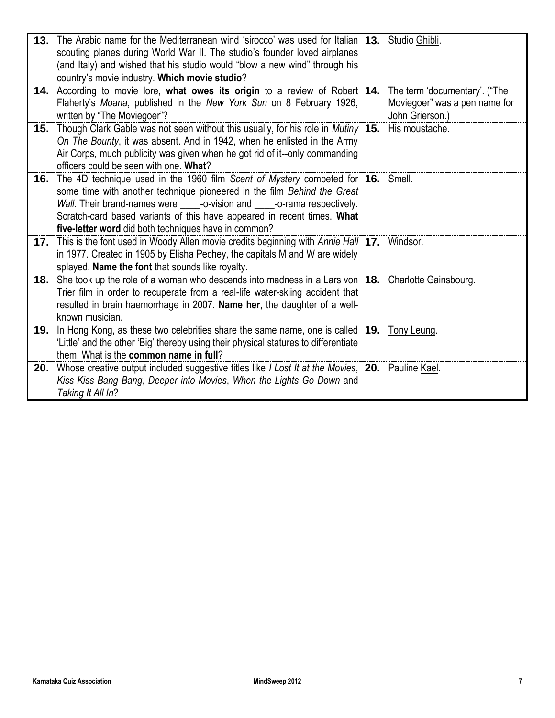| 13. The Arabic name for the Mediterranean wind 'sirocco' was used for Italian 13. Studio Ghibli.<br>scouting planes during World War II. The studio's founder loved airplanes<br>(and Italy) and wished that his studio would "blow a new wind" through his<br>country's movie industry. Which movie studio?                                                                    |                                                                                   |
|---------------------------------------------------------------------------------------------------------------------------------------------------------------------------------------------------------------------------------------------------------------------------------------------------------------------------------------------------------------------------------|-----------------------------------------------------------------------------------|
| 14. According to movie lore, what owes its origin to a review of Robert 14.<br>Flaherty's Moana, published in the New York Sun on 8 February 1926,<br>written by "The Moviegoer"?                                                                                                                                                                                               | The term 'documentary'. ("The<br>Moviegoer" was a pen name for<br>John Grierson.) |
| 15. Though Clark Gable was not seen without this usually, for his role in Mutiny 15.<br>On The Bounty, it was absent. And in 1942, when he enlisted in the Army<br>Air Corps, much publicity was given when he got rid of it--only commanding<br>officers could be seen with one. What?                                                                                         | His moustache.                                                                    |
| 16. The 4D technique used in the 1960 film Scent of Mystery competed for 16. Smell.<br>some time with another technique pioneered in the film Behind the Great<br>Wall. Their brand-names were _____-o-vision and _____-o-rama respectively.<br>Scratch-card based variants of this have appeared in recent times. What<br>five-letter word did both techniques have in common? |                                                                                   |
| 17. This is the font used in Woody Allen movie credits beginning with Annie Hall 17. Windsor.<br>in 1977. Created in 1905 by Elisha Pechey, the capitals M and W are widely<br>splayed. Name the font that sounds like royalty.                                                                                                                                                 |                                                                                   |
| 18. She took up the role of a woman who descends into madness in a Lars von 18. Charlotte Gainsbourg.<br>Trier film in order to recuperate from a real-life water-skiing accident that<br>resulted in brain haemorrhage in 2007. Name her, the daughter of a well-<br>known musician.                                                                                           |                                                                                   |
| 19. In Hong Kong, as these two celebrities share the same name, one is called 19. Tony Leung.<br>'Little' and the other 'Big' thereby using their physical statures to differentiate<br>them. What is the common name in full?                                                                                                                                                  |                                                                                   |
| 20. Whose creative output included suggestive titles like I Lost It at the Movies, 20. Pauline Kael.<br>Kiss Kiss Bang Bang, Deeper into Movies, When the Lights Go Down and<br>Taking It All In?                                                                                                                                                                               |                                                                                   |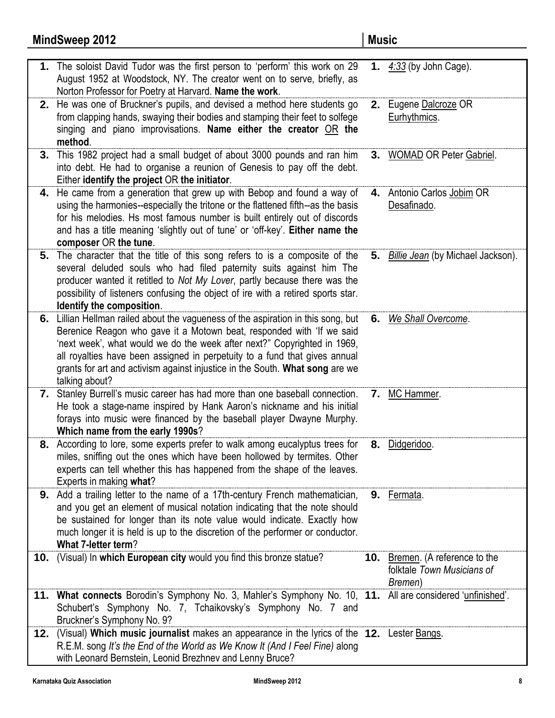# **MindSweep 2012 Music**

|     | 1. The soloist David Tudor was the first person to 'perform' this work on 29<br>August 1952 at Woodstock, NY. The creator went on to serve, briefly, as<br>Norton Professor for Poetry at Harvard. Name the work.                                                                                                                                                                                                      |    | 1. $4:33$ (by John Cage).                                                       |
|-----|------------------------------------------------------------------------------------------------------------------------------------------------------------------------------------------------------------------------------------------------------------------------------------------------------------------------------------------------------------------------------------------------------------------------|----|---------------------------------------------------------------------------------|
|     | 2. He was one of Bruckner's pupils, and devised a method here students go<br>from clapping hands, swaying their bodies and stamping their feet to solfege<br>singing and piano improvisations. Name either the creator OR the<br>method.                                                                                                                                                                               |    | 2. Eugene Dalcroze OR<br>Eurhythmics.                                           |
| 3.  | This 1982 project had a small budget of about 3000 pounds and ran him<br>into debt. He had to organise a reunion of Genesis to pay off the debt.<br>Either identify the project OR the initiator.                                                                                                                                                                                                                      |    | 3. WOMAD OR Peter Gabriel.                                                      |
|     | 4. He came from a generation that grew up with Bebop and found a way of<br>using the harmonies--especially the tritone or the flattened fifth--as the basis<br>for his melodies. Hs most famous number is built entirely out of discords<br>and has a title meaning 'slightly out of tune' or 'off-key'. Either name the<br>composer OR the tune.                                                                      | 4. | Antonio Carlos Jobim OR<br>Desafinado.                                          |
| 5.  | The character that the title of this song refers to is a composite of the<br>several deluded souls who had filed paternity suits against him The<br>producer wanted it retitled to Not My Lover, partly because there was the<br>possibility of listeners confusing the object of ire with a retired sports star.<br>Identify the composition.                                                                         |    | 5. Billie Jean (by Michael Jackson).                                            |
|     | 6. Lillian Hellman railed about the vagueness of the aspiration in this song, but<br>Berenice Reagon who gave it a Motown beat, responded with 'If we said<br>'next week', what would we do the week after next?" Copyrighted in 1969,<br>all royalties have been assigned in perpetuity to a fund that gives annual<br>grants for art and activism against injustice in the South. What song are we<br>talking about? |    | 6. We Shall Overcome.                                                           |
|     | 7. Stanley Burrell's music career has had more than one baseball connection.<br>He took a stage-name inspired by Hank Aaron's nickname and his initial<br>forays into music were financed by the baseball player Dwayne Murphy.<br>Which name from the early 1990s?                                                                                                                                                    | 7. | MC Hammer.                                                                      |
|     | 8. According to lore, some experts prefer to walk among eucalyptus trees for<br>miles, sniffing out the ones which have been hollowed by termites. Other<br>experts can tell whether this has happened from the shape of the leaves.<br>Experts in making what?                                                                                                                                                        |    | 8. Didgeridoo.                                                                  |
|     | <b>9.</b> Add a trailing letter to the name of a 17th-century French mathematician,<br>and you get an element of musical notation indicating that the note should<br>be sustained for longer than its note value would indicate. Exactly how<br>much longer it is held is up to the discretion of the performer or conductor.<br>What 7-letter term?                                                                   |    | 9. Fermata.                                                                     |
|     | 10. (Visual) In which European city would you find this bronze statue?                                                                                                                                                                                                                                                                                                                                                 |    | <b>10.</b> Bremen. (A reference to the<br>folktale Town Musicians of<br>Bremen) |
|     | 11. What connects Borodin's Symphony No. 3, Mahler's Symphony No. 10, 11. All are considered 'unfinished'.<br>Schubert's Symphony No. 7, Tchaikovsky's Symphony No. 7 and<br>Bruckner's Symphony No. 9?                                                                                                                                                                                                                |    |                                                                                 |
| 12. | (Visual) Which music journalist makes an appearance in the lyrics of the 12. Lester Bangs.<br>R.E.M. song It's the End of the World as We Know It (And I Feel Fine) along<br>with Leonard Bernstein, Leonid Brezhnev and Lenny Bruce?                                                                                                                                                                                  |    |                                                                                 |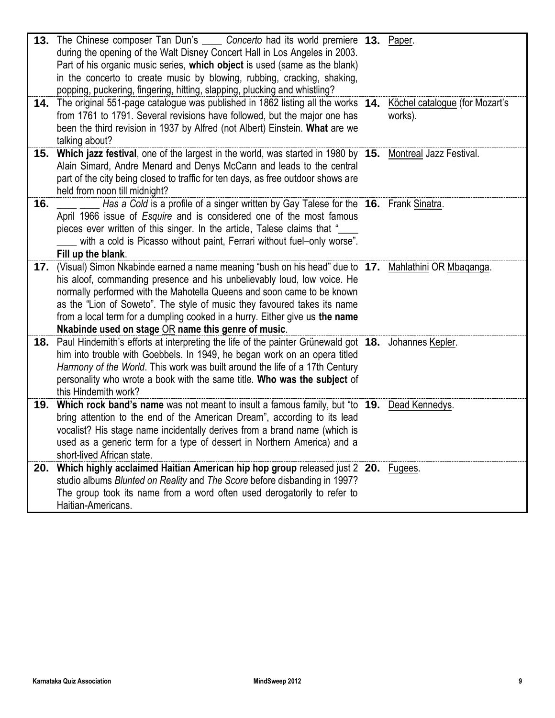|     | 13. The Chinese composer Tan Dun's _____ Concerto had its world premiere 13. Paper.<br>during the opening of the Walt Disney Concert Hall in Los Angeles in 2003.<br>Part of his organic music series, which object is used (same as the blank)<br>in the concerto to create music by blowing, rubbing, cracking, shaking,<br>popping, puckering, fingering, hitting, slapping, plucking and whistling?                                                                      |                                           |
|-----|------------------------------------------------------------------------------------------------------------------------------------------------------------------------------------------------------------------------------------------------------------------------------------------------------------------------------------------------------------------------------------------------------------------------------------------------------------------------------|-------------------------------------------|
| 14. | The original 551-page catalogue was published in 1862 listing all the works 14.<br>from 1761 to 1791. Several revisions have followed, but the major one has<br>been the third revision in 1937 by Alfred (not Albert) Einstein. What are we<br>talking about?                                                                                                                                                                                                               | Köchel catalogue (for Mozart's<br>works). |
|     | 15. Which jazz festival, one of the largest in the world, was started in 1980 by 15. Montreal Jazz Festival.<br>Alain Simard, Andre Menard and Denys McCann and leads to the central<br>part of the city being closed to traffic for ten days, as free outdoor shows are<br>held from noon till midnight?                                                                                                                                                                    |                                           |
| 16. | Has a Cold is a profile of a singer written by Gay Talese for the 16. Frank Sinatra.<br>April 1966 issue of <i>Esquire</i> and is considered one of the most famous<br>pieces ever written of this singer. In the article, Talese claims that "<br>with a cold is Picasso without paint, Ferrari without fuel-only worse".<br>Fill up the blank.                                                                                                                             |                                           |
| 17. | (Visual) Simon Nkabinde earned a name meaning "bush on his head" due to 17. Mahlathini OR Mbaganga.<br>his aloof, commanding presence and his unbelievably loud, low voice. He<br>normally performed with the Mahotella Queens and soon came to be known<br>as the "Lion of Soweto". The style of music they favoured takes its name<br>from a local term for a dumpling cooked in a hurry. Either give us the name<br>Nkabinde used on stage $OR$ name this genre of music. |                                           |
| 18. | Paul Hindemith's efforts at interpreting the life of the painter Grünewald got 18. Johannes Kepler.<br>him into trouble with Goebbels. In 1949, he began work on an opera titled<br>Harmony of the World. This work was built around the life of a 17th Century<br>personality who wrote a book with the same title. Who was the subject of<br>this Hindemith work?                                                                                                          |                                           |
| 19. | Which rock band's name was not meant to insult a famous family, but "to 19. Dead Kennedys.<br>bring attention to the end of the American Dream", according to its lead<br>vocalist? His stage name incidentally derives from a brand name (which is<br>used as a generic term for a type of dessert in Northern America) and a<br>short-lived African state.                                                                                                                 |                                           |
| 20. | Which highly acclaimed Haitian American hip hop group released just 2 20. Fugees.<br>studio albums Blunted on Reality and The Score before disbanding in 1997?<br>The group took its name from a word often used derogatorily to refer to<br>Haitian-Americans.                                                                                                                                                                                                              |                                           |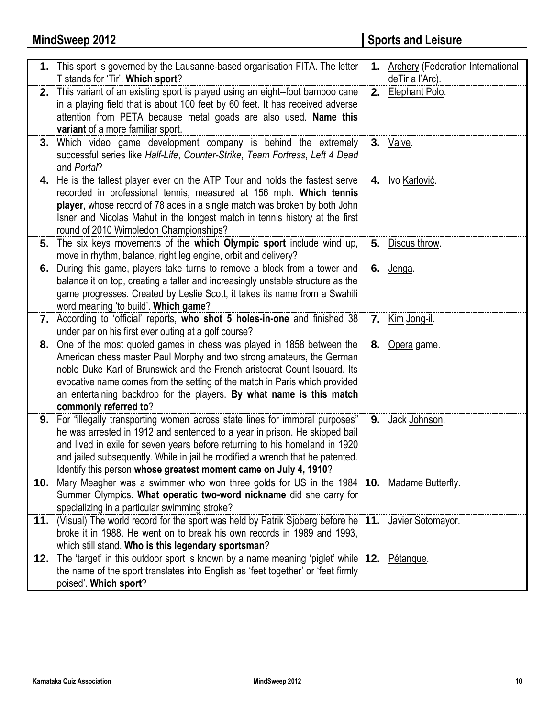|     | 1. This sport is governed by the Lausanne-based organisation FITA. The letter<br>T stands for 'Tir'. Which sport?                                                                                                                                                                                                                                                                                         | 1. Archery (Federation International<br>deTir a l'Arc). |
|-----|-----------------------------------------------------------------------------------------------------------------------------------------------------------------------------------------------------------------------------------------------------------------------------------------------------------------------------------------------------------------------------------------------------------|---------------------------------------------------------|
| 2.  | This variant of an existing sport is played using an eight-foot bamboo cane<br>in a playing field that is about 100 feet by 60 feet. It has received adverse<br>attention from PETA because metal goads are also used. Name this<br>variant of a more familiar sport.                                                                                                                                     | 2. Elephant Polo.                                       |
|     | 3. Which video game development company is behind the extremely<br>successful series like Half-Life, Counter-Strike, Team Fortress, Left 4 Dead<br>and Portal?                                                                                                                                                                                                                                            | 3. Valve.                                               |
|     | 4. He is the tallest player ever on the ATP Tour and holds the fastest serve<br>recorded in professional tennis, measured at 156 mph. Which tennis<br>player, whose record of 78 aces in a single match was broken by both John<br>Isner and Nicolas Mahut in the longest match in tennis history at the first<br>round of 2010 Wimbledon Championships?                                                  | 4. Ivo Karlović.                                        |
| 5.  | The six keys movements of the which Olympic sport include wind up,<br>move in rhythm, balance, right leg engine, orbit and delivery?                                                                                                                                                                                                                                                                      | 5. Discus throw.                                        |
| 6.  | During this game, players take turns to remove a block from a tower and<br>balance it on top, creating a taller and increasingly unstable structure as the<br>game progresses. Created by Leslie Scott, it takes its name from a Swahili<br>word meaning 'to build'. Which game?                                                                                                                          | 6. <u>Jenga</u> .                                       |
|     | 7. According to 'official' reports, who shot 5 holes-in-one and finished 38<br>under par on his first ever outing at a golf course?                                                                                                                                                                                                                                                                       | <b>7.</b> Kim Jong-il.                                  |
| 8.  | One of the most quoted games in chess was played in 1858 between the<br>American chess master Paul Morphy and two strong amateurs, the German<br>noble Duke Karl of Brunswick and the French aristocrat Count Isouard. Its<br>evocative name comes from the setting of the match in Paris which provided<br>an entertaining backdrop for the players. By what name is this match<br>commonly referred to? | 8. Opera game                                           |
|     | 9. For "illegally transporting women across state lines for immoral purposes"<br>he was arrested in 1912 and sentenced to a year in prison. He skipped bail<br>and lived in exile for seven years before returning to his homeland in 1920<br>and jailed subsequently. While in jail he modified a wrench that he patented.<br>Identify this person whose greatest moment came on July 4, 1910?           | 9. Jack Johnson.                                        |
|     | 10. Mary Meagher was a swimmer who won three golds for US in the 1984 10. Madame Butterfly.<br>Summer Olympics. What operatic two-word nickname did she carry for<br>specializing in a particular swimming stroke?                                                                                                                                                                                        |                                                         |
|     | 11. (Visual) The world record for the sport was held by Patrik Sjoberg before he 11. Javier Sotomayor.<br>broke it in 1988. He went on to break his own records in 1989 and 1993,<br>which still stand. Who is this legendary sportsman?                                                                                                                                                                  |                                                         |
| 12. | The 'target' in this outdoor sport is known by a name meaning 'piglet' while 12. Pétanque.<br>the name of the sport translates into English as 'feet together' or 'feet firmly<br>poised'. Which sport?                                                                                                                                                                                                   |                                                         |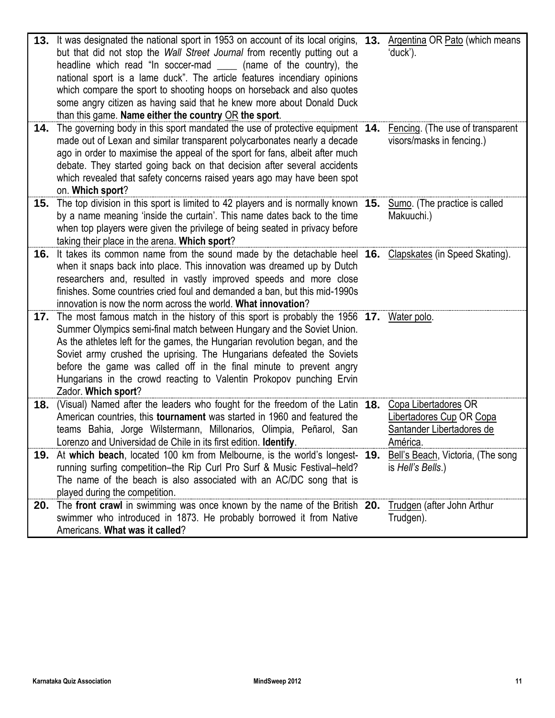|     | 13. It was designated the national sport in 1953 on account of its local origins, 13. Argentina OR Pato (which means<br>but that did not stop the Wall Street Journal from recently putting out a<br>headline which read "In soccer-mad (name of the country), the<br>national sport is a lame duck". The article features incendiary opinions<br>which compare the sport to shooting hoops on horseback and also quotes<br>some angry citizen as having said that he knew more about Donald Duck<br>than this game. Name either the country OR the sport. | 'duck').                                                                                  |
|-----|------------------------------------------------------------------------------------------------------------------------------------------------------------------------------------------------------------------------------------------------------------------------------------------------------------------------------------------------------------------------------------------------------------------------------------------------------------------------------------------------------------------------------------------------------------|-------------------------------------------------------------------------------------------|
| 14. | The governing body in this sport mandated the use of protective equipment 14.<br>made out of Lexan and similar transparent polycarbonates nearly a decade<br>ago in order to maximise the appeal of the sport for fans, albeit after much<br>debate. They started going back on that decision after several accidents<br>which revealed that safety concerns raised years ago may have been spot<br>on. Which sport?                                                                                                                                       | Fencing. (The use of transparent<br>visors/masks in fencing.)                             |
| 15. | The top division in this sport is limited to 42 players and is normally known 15. Sumo. (The practice is called<br>by a name meaning 'inside the curtain'. This name dates back to the time<br>when top players were given the privilege of being seated in privacy before<br>taking their place in the arena. Which sport?                                                                                                                                                                                                                                | Makuuchi.)                                                                                |
| 16. | It takes its common name from the sound made by the detachable heel 16. Clapskates (in Speed Skating).<br>when it snaps back into place. This innovation was dreamed up by Dutch<br>researchers and, resulted in vastly improved speeds and more close<br>finishes. Some countries cried foul and demanded a ban, but this mid-1990s<br>innovation is now the norm across the world. What innovation?                                                                                                                                                      |                                                                                           |
|     | 17. The most famous match in the history of this sport is probably the 1956 17. Water polo.<br>Summer Olympics semi-final match between Hungary and the Soviet Union.<br>As the athletes left for the games, the Hungarian revolution began, and the<br>Soviet army crushed the uprising. The Hungarians defeated the Soviets<br>before the game was called off in the final minute to prevent angry<br>Hungarians in the crowd reacting to Valentin Prokopov punching Ervin<br>Zador. Which sport?                                                        |                                                                                           |
| 18. | (Visual) Named after the leaders who fought for the freedom of the Latin 18.<br>American countries, this <b>tournament</b> was started in 1960 and featured the<br>teams Bahia, Jorge Wilstermann, Millonarios, Olimpia, Peñarol, San<br>Lorenzo and Universidad de Chile in its first edition. Identify.                                                                                                                                                                                                                                                  | Copa Libertadores OR<br>Libertadores Cup OR Copa<br>Santander Libertadores de<br>América. |
|     | 19. At which beach, located 100 km from Melbourne, is the world's longest- 19.<br>running surfing competition-the Rip Curl Pro Surf & Music Festival-held?<br>The name of the beach is also associated with an AC/DC song that is<br>played during the competition.                                                                                                                                                                                                                                                                                        | Bell's Beach, Victoria, (The song<br>is Hell's Bells.)                                    |
| 20. | The front crawl in swimming was once known by the name of the British 20.<br>swimmer who introduced in 1873. He probably borrowed it from Native<br>Americans. What was it called?                                                                                                                                                                                                                                                                                                                                                                         | Trudgen (after John Arthur<br>Trudgen).                                                   |